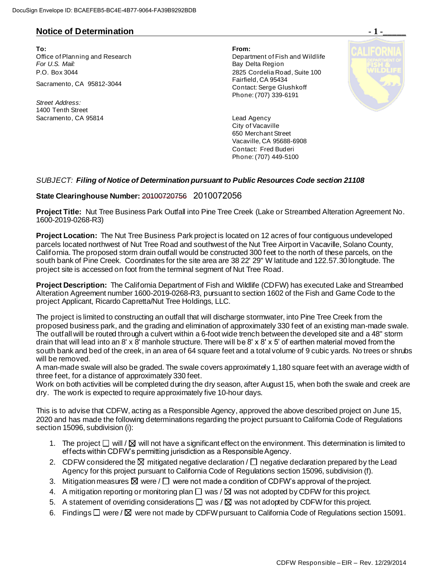## **Notice of Determination**  $\qquad \qquad$  **1 -**

**To: From:**  Office of Planning and Research Department of Fish and Wildlife For U.S. Mail: **Bay Delta Region** P.O. Box 3044 2825 Cordelia Road, Suite 100 Sacramento, CA 95812-3044 Fairfield, CA 95434

*Street Address:* 1400 Tenth Street Sacramento, CA 95814 **Lead Agency** 

Contact: Serge Glushkoff Phone: (707) 339-6191



City of Vacaville 650 Merchant Street Vacaville, CA 95688-6908 Contact: Fred Buderi Phone: (707) 449-5100

## *SUBJECT: Filing of Notice of Determination pursuant to Public Resources Code section 21108*

## **State Clearinghouse Number:** 20100720756 2010072056

**Project Title:** Nut Tree Business Park Outfall into Pine Tree Creek (Lake or Streambed Alteration Agreement No. 1600-2019-0268-R3)

**Project Location:** The Nut Tree Business Park project is located on 12 acres of four contiguous undeveloped parcels located northwest of Nut Tree Road and southwest of the Nut Tree Airport in Vacaville, Solano County, California. The proposed storm drain outfall would be constructed 300 feet to the north of these parcels, on the south bank of Pine Creek. Coordinates for the site area are 38 22' 29" W latitude and 122.57.30 longitude. The project site is accessed on foot from the terminal segment of Nut Tree Road.

**Project Description:** The California Department of Fish and Wildlife (CDFW) has executed Lake and Streambed Alteration Agreement number 1600-2019-0268-R3, pursuant to section 1602 of the Fish and Game Code to the project Applicant, Ricardo Capretta/Nut Tree Holdings, LLC.

The project is limited to constructing an outfall that will discharge stormwater, into Pine Tree Creek from the proposed business park, and the grading and elimination of approximately 330 feet of an existing man-made swale. The outfall will be routed through a culvert within a 6-foot wide trench between the developed site and a 48" storm drain that will lead into an 8' x 8' manhole structure. There will be 8' x 8' x 5' of earthen material moved from the south bank and bed of the creek, in an area of 64 square feet and a total volume of 9 cubic yards. No trees or shrubs will be removed.

A man-made swale will also be graded. The swale covers approximately 1,180 square feet with an average width of three feet, for a distance of approximately 330 feet.

Work on both activities will be completed during the dry season, after August 15, when both the swale and creek are dry. The work is expected to require approximately five 10-hour days.

This is to advise that CDFW, acting as a Responsible Agency, approved the above described project on June 15, 2020 and has made the following determinations regarding the project pursuant to California Code of Regulations section 15096, subdivision (i):

- 1. The project  $\Box$  will /  $\boxtimes$  will not have a significant effect on the environment. This determination is limited to effects within CDFW's permitting jurisdiction as a Responsible Agency.
- 2. CDFW considered the  $\boxtimes$  mitigated negative declaration /  $\Box$  negative declaration prepared by the Lead Agency for this project pursuant to California Code of Regulations section 15096, subdivision (f).
- 3. Mitigation measures  $\boxtimes$  were /  $\Box$  were not made a condition of CDFW's approval of the project.
- 4. A mitigation reporting or monitoring plan  $\Box$  was /  $\boxtimes$  was not adopted by CDFW for this project.
- 5. A statement of overriding considerations  $\square$  was /  $\square$  was not adopted by CDFW for this project.
- 6. Findings  $\Box$  were /  $\boxtimes$  were not made by CDFW pursuant to California Code of Regulations section 15091.